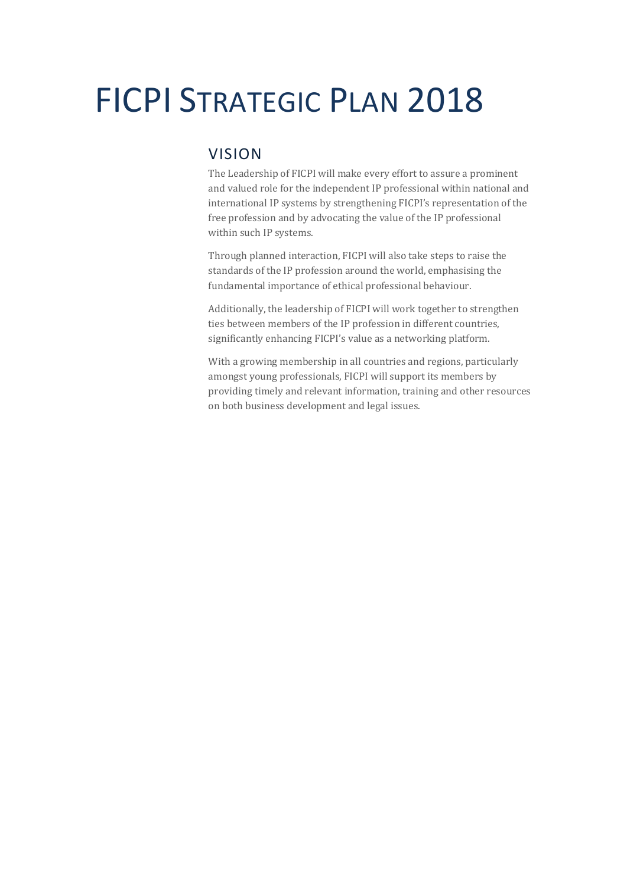# FICPI STRATEGIC PLAN 2018

# VISION

The Leadership of FICPI will make every effort to assure a prominent and valued role for the independent IP professional within national and international IP systems by strengthening FICPI's representation of the free profession and by advocating the value of the IP professional within such IP systems.

Through planned interaction, FICPI will also take steps to raise the standards of the IP profession around the world, emphasising the fundamental importance of ethical professional behaviour.

Additionally, the leadership of FICPI will work together to strengthen ties between members of the IP profession in different countries, significantly enhancing FICPI's value as a networking platform.

With a growing membership in all countries and regions, particularly amongst young professionals, FICPI will support its members by providing timely and relevant information, training and other resources on both business development and legal issues.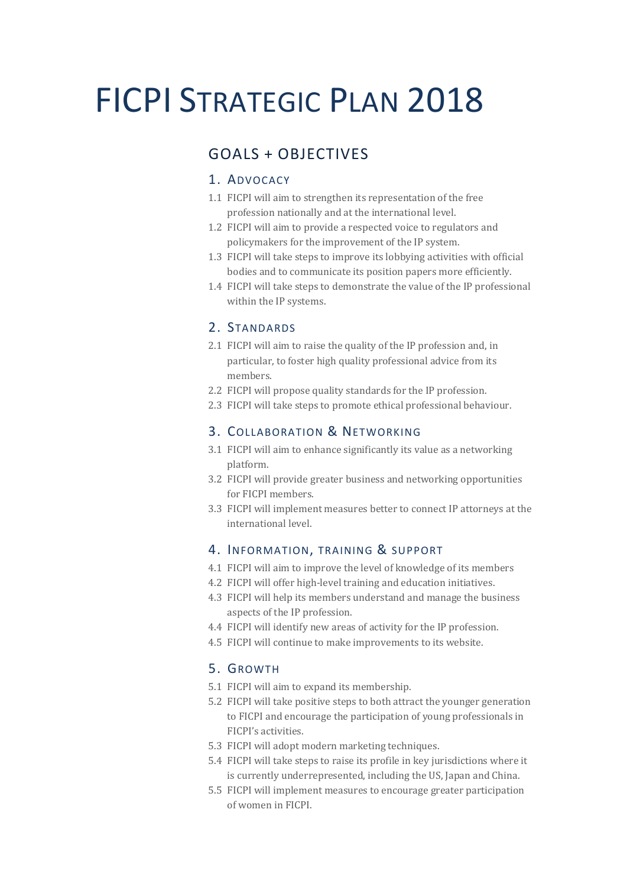# FICPI STRATEGIC PLAN 2018

# GOALS + OBJECTIVES

### 1. ADVOCACY

- 1.1 FICPI will aim to strengthen its representation of the free profession nationally and at the international level.
- 1.2 FICPI will aim to provide a respected voice to regulators and policymakers for the improvement of the IP system.
- 1.3 FICPI will take steps to improve its lobbying activities with official bodies and to communicate its position papers more efficiently.
- 1.4 FICPI will take steps to demonstrate the value of the IP professional within the IP systems.

#### 2. STANDARDS

- 2.1 FICPI will aim to raise the quality of the IP profession and, in particular, to foster high quality professional advice from its members.
- 2.2 FICPI will propose quality standards for the IP profession.
- 2.3 FICPI will take steps to promote ethical professional behaviour.

### 3. COLLABORATION & NETWORKING

- 3.1 FICPI will aim to enhance significantly its value as a networking platform.
- 3.2 FICPI will provide greater business and networking opportunities for FICPI members.
- 3.3 FICPI will implement measures better to connect IP attorneys at the international level.

## 4. INFORMATION, TRAINING & SUPPORT

- 4.1 FICPI will aim to improve the level of knowledge of its members
- 4.2 FICPI will offer high-level training and education initiatives.
- 4.3 FICPI will help its members understand and manage the business aspects of the IP profession.
- 4.4 FICPI will identify new areas of activity for the IP profession.
- 4.5 FICPI will continue to make improvements to its website.

# 5. GROWTH

- 5.1 FICPI will aim to expand its membership.
- 5.2 FICPI will take positive steps to both attract the younger generation to FICPI and encourage the participation of young professionals in FICPI's activities.
- 5.3 FICPI will adopt modern marketing techniques.
- 5.4 FICPI will take steps to raise its profile in key jurisdictions where it is currently underrepresented, including the US, Japan and China.
- 5.5 FICPI will implement measures to encourage greater participation of women in FICPI.